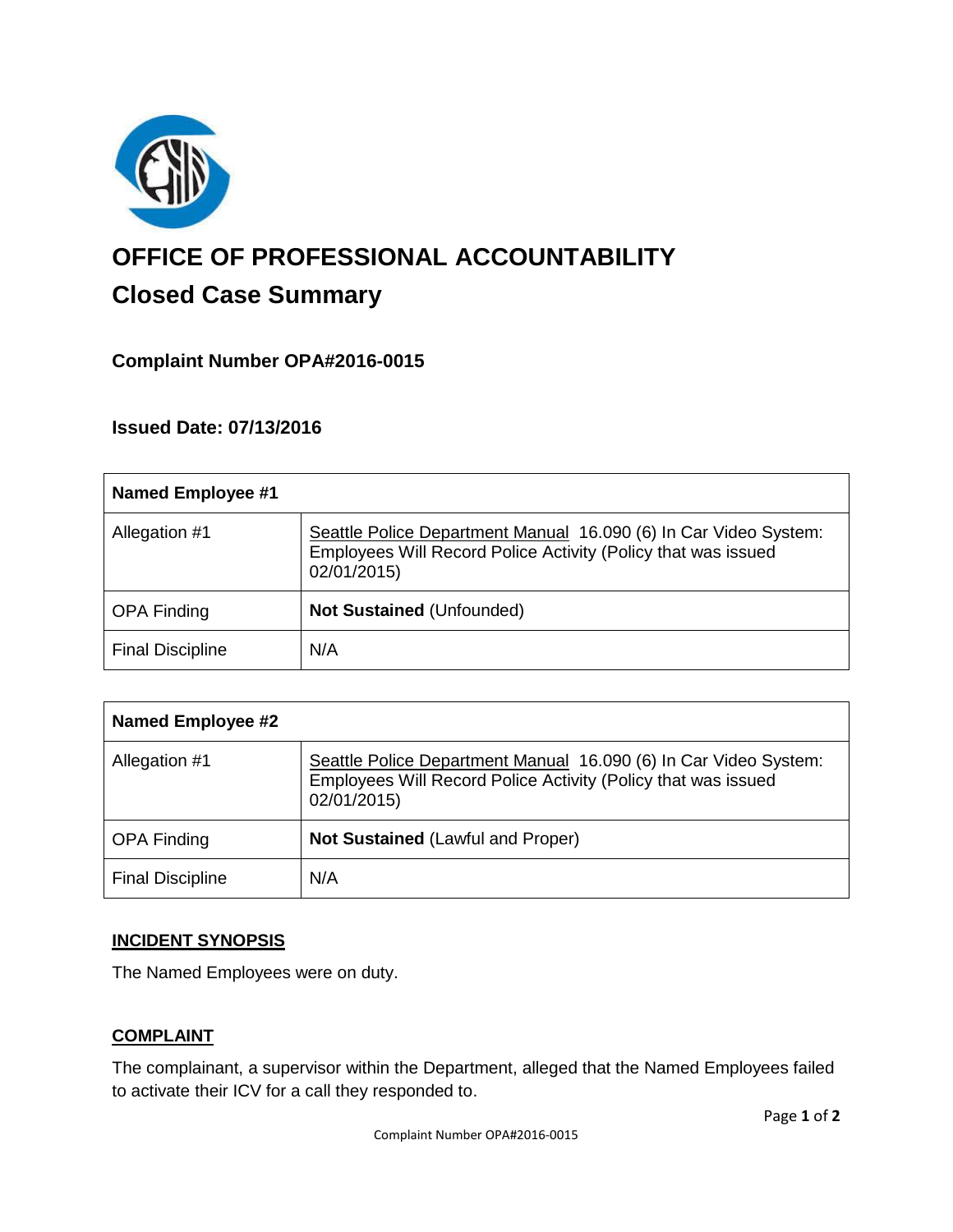

# **OFFICE OF PROFESSIONAL ACCOUNTABILITY Closed Case Summary**

## **Complaint Number OPA#2016-0015**

**Issued Date: 07/13/2016**

| Named Employee #1       |                                                                                                                                                  |
|-------------------------|--------------------------------------------------------------------------------------------------------------------------------------------------|
| Allegation #1           | Seattle Police Department Manual 16.090 (6) In Car Video System:<br>Employees Will Record Police Activity (Policy that was issued<br>02/01/2015) |
| <b>OPA Finding</b>      | <b>Not Sustained (Unfounded)</b>                                                                                                                 |
| <b>Final Discipline</b> | N/A                                                                                                                                              |

| <b>Named Employee #2</b> |                                                                                                                                                  |
|--------------------------|--------------------------------------------------------------------------------------------------------------------------------------------------|
| Allegation #1            | Seattle Police Department Manual 16.090 (6) In Car Video System:<br>Employees Will Record Police Activity (Policy that was issued<br>02/01/2015) |
| <b>OPA Finding</b>       | <b>Not Sustained (Lawful and Proper)</b>                                                                                                         |
| <b>Final Discipline</b>  | N/A                                                                                                                                              |

## **INCIDENT SYNOPSIS**

The Named Employees were on duty.

### **COMPLAINT**

The complainant, a supervisor within the Department, alleged that the Named Employees failed to activate their ICV for a call they responded to.